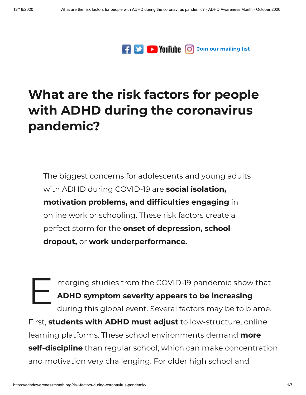

## **What are the risk factors for people with ADHD during the [coronavirus](https://adhdawarenessmonth.org/risk-factors-during-coronavirus-pandemic/) pandemic?**

The biggest concerns for adolescents and young adults with ADHD during COVID-19 are **social isolation, motivation problems, and difficulties engaging in** online work or schooling. These risk factors create a perfect storm for the **onset of depression, school dropout,** or **work underperformance.**

E a merging studies from the COVID-19 pandemic show that **ADHD symptom severity appears to be increasing** during this global event. Several factors may be to blame. First, **students with ADHD must adjust** to low-structure, online learning platforms. These school environments demand **more self-discipline** than regular school, which can make concentration and motivation very challenging. For older high school and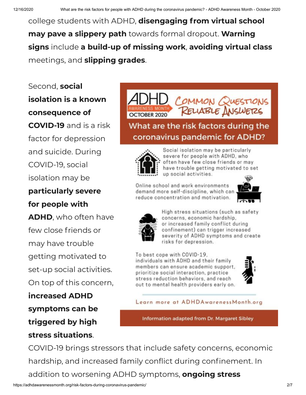college students with ADHD, **disengaging from virtual school may pave a slippery path** towards formal dropout. **Warning signs** include **a build-up of missing work**, **avoiding virtual class** meetings, and **slipping grades**.

Second, **social isolation is a known consequence of COVID-19** and is a risk factor for depression and suicide. During COVID-19, social isolation may be **particularly severe**

## **for people with**

**ADHD**, who often have few close friends or may have trouble getting motivated to set-up social activities. On top of this concern,

**increased ADHD symptoms can be triggered by high stress situations**.



What are the risk factors during the coronavirus pandemic for ADHD?



Social isolation may be particularly severe for people with ADHD, who often have few close friends or may have trouble getting motivated to set up social activities.

Online school and work environments demand more self-discipline, which can reduce concentration and motivation.





High stress situations (such as safety concerns, economic hardship, or increased family conflict during confinement) can trigger increased severity of ADHD symptoms and create risks for depression.

To best cope with COVID-19, individuals with ADHD and their family members can ensure academic support. prioritize social interaction, practice stress reduction behaviors, and reach out to mental health providers early on.



Learn more at ADHDAwarenessMonth.org

Information adapted from Dr. Margaret Sibley

COVID-19 brings stressors that include safety concerns, economic hardship, and increased family conflict during confinement. In addition to worsening ADHD symptoms, **ongoing stress**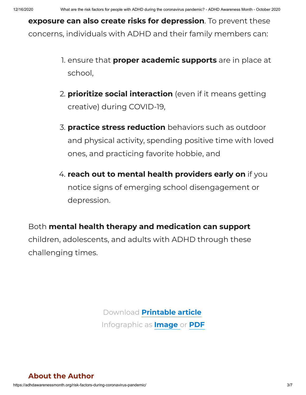**exposure can also create risks for depression**. To prevent these concerns, individuals with ADHD and their family members can:

- 1. ensure that **proper academic supports** are in place at school,
- 2. **prioritize social interaction** (even if it means getting creative) during COVID-19,
- 3. **practice stress reduction** behaviors such as outdoor and physical activity, spending positive time with loved ones, and practicing favorite hobbie, and
- 4. **reach out to mental health providers early on** if you notice signs of emerging school disengagement or depression.

Both **mental health therapy and medication can support** children, adolescents, and adults with ADHD through these

challenging times.

Download **[Printable](https://adhdawarenessmonth.org/wp-content/uploads/Sibley-Coronavirus.pdf) article** Infographic as **[Image](https://adhdawarenessmonth.org/wp-content/uploads/infographic-coronavirus.jpg)** or **[PDF](https://adhdawarenessmonth.org/wp-content/uploads/infographic-coronavirus.pdf)**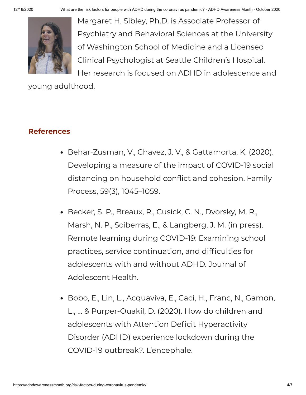12/16/2020 What are the risk factors for people with ADHD during the coronavirus pandemic? - ADHD Awareness Month - October 2020



Margaret H. Sibley, Ph.D. is Associate Professor of Psychiatry and Behavioral Sciences at the University of Washington School of Medicine and a Licensed Clinical Psychologist at Seattle Children's Hospital. Her research is focused on ADHD in adolescence and

young adulthood.

## **References**

- Behar‐Zusman, V., Chavez, J. V., & Gattamorta, K. (2020). Developing a measure of the impact of COVID-19 social distancing on household conflict and cohesion. Family Process, 59(3), 1045–1059.
- Becker, S. P., Breaux, R., Cusick, C. N., Dvorsky, M. R., Marsh, N. P., Sciberras, E., & Langberg, J. M. (in press). Remote learning during COVID-19: Examining school practices, service continuation, and difficulties for adolescents with and without ADHD. Journal of Adolescent Health.
- Bobo, E., Lin, L., Acquaviva, E., Caci, H., Franc, N., Gamon, L., … & Purper-Ouakil, D. (2020). How do children and adolescents with Attention Deficit Hyperactivity Disorder (ADHD) experience lockdown during the COVID-19 outbreak?. L'encephale.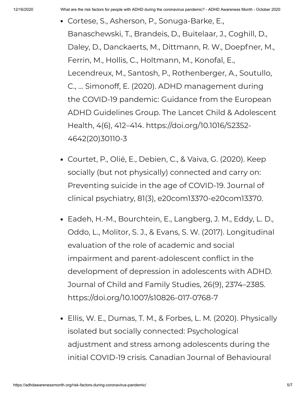- Cortese, S., Asherson, P., Sonuga-Barke, E., Banaschewski, T., Brandeis, D., Buitelaar, J., Coghill, D., Daley, D., Danckaerts, M., Dittmann, R. W., Doepfner, M., Ferrin, M., Hollis, C., Holtmann, M., Konofal, E., Lecendreux, M., Santosh, P., Rothenberger, A., Soutullo, C., … Simonoff, E. (2020). ADHD management during the COVID-19 pandemic: Guidance from the European ADHD Guidelines Group. The Lancet Child & Adolescent Health, 4(6), 412–414. https://doi.org/10.1016/S2352- 4642(20)30110-3
- Courtet, P., Olié, E., Debien, C., & Vaiva, G. (2020). Keep socially (but not physically) connected and carry on: Preventing suicide in the age of COVID-19. Journal of clinical psychiatry, 81(3), e20com13370-e20com13370.
- Eadeh, H.-M., Bourchtein, E., Langberg, J. M., Eddy, L. D., Oddo, L., Molitor, S. J., & Evans, S. W. (2017). Longitudinal evaluation of the role of academic and social impairment and parent-adolescent conflict in the development of depression in adolescents with ADHD. Journal of Child and Family Studies, 26(9), 2374–2385. https://doi.org/10.1007/s10826-017-0768-7
- Ellis, W. E., Dumas, T. M., & Forbes, L. M. (2020). Physically isolated but socially connected: Psychological adjustment and stress among adolescents during the initial COVID-19 crisis. Canadian Journal of Behavioural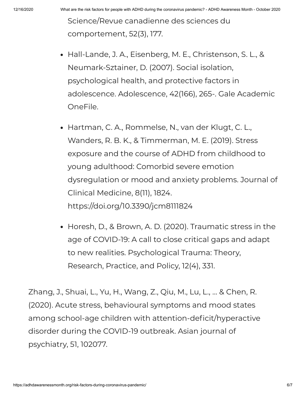Science/Revue canadienne des sciences du comportement, 52(3), 177.

- Hall-Lande, J. A., Eisenberg, M. E., Christenson, S. L., & Neumark-Sztainer, D. (2007). Social isolation, psychological health, and protective factors in adolescence. Adolescence, 42(166), 265-. Gale Academic OneFile.
- Hartman, C. A., Rommelse, N., van der Klugt, C. L., Wanders, R. B. K., & Timmerman, M. E. (2019). Stress exposure and the course of ADHD from childhood to young adulthood: Comorbid severe emotion dysregulation or mood and anxiety problems. Journal of Clinical Medicine, 8(11), 1824. https://doi.org/10.3390/jcm8111824
- Horesh, D., & Brown, A. D. (2020). Traumatic stress in the age of COVID-19: A call to close critical gaps and adapt to new realities. Psychological Trauma: Theory, Research, Practice, and Policy, 12(4), 331.

Zhang, J., Shuai, L., Yu, H., Wang, Z., Qiu, M., Lu, L., … & Chen, R. (2020). Acute stress, behavioural symptoms and mood states among school-age children with attention-deficit/hyperactive disorder during the COVID-19 outbreak. Asian journal of psychiatry, 51, 102077.